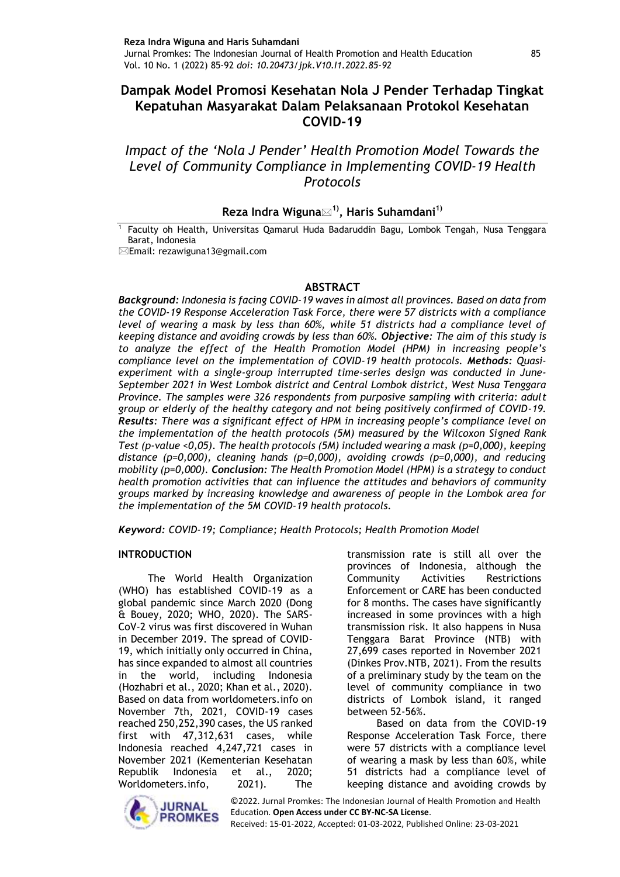# **Dampak Model Promosi Kesehatan Nola J Pender Terhadap Tingkat Kepatuhan Masyarakat Dalam Pelaksanaan Protokol Kesehatan COVID-19**

*Impact of the 'Nola J Pender' Health Promotion Model Towards the Level of Community Compliance in Implementing COVID-19 Health Protocols*

## **Reza Indra Wiguna1), Haris Suhamdani1)**

<sup>1</sup> Faculty oh Health, Universitas Qamarul Huda Badaruddin Bagu, Lombok Tengah, Nusa Tenggara Barat, Indonesia

Email: rezawiguna13@gmail.com

#### **ABSTRACT**

*Background: Indonesia is facing COVID-19 waves in almost all provinces. Based on data from the COVID-19 Response Acceleration Task Force, there were 57 districts with a compliance level of wearing a mask by less than 60%, while 51 districts had a compliance level of keeping distance and avoiding crowds by less than 60%. Objective: The aim of this study is to analyze the effect of the Health Promotion Model (HPM) in increasing people's compliance level on the implementation of COVID-19 health protocols. Methods: Quasiexperiment with a single-group interrupted time-series design was conducted in June-September 2021 in West Lombok district and Central Lombok district, West Nusa Tenggara Province. The samples were 326 respondents from purposive sampling with criteria: adult group or elderly of the healthy category and not being positively confirmed of COVID-19. Results: There was a significant effect of HPM in increasing people's compliance level on the implementation of the health protocols (5M) measured by the Wilcoxon Signed Rank Test (p-value <0,05). The health protocols (5M) included wearing a mask (p=0,000), keeping distance (p=0,000), cleaning hands (p=0,000), avoiding crowds (p=0,000), and reducing mobility (p=0,000). Conclusion: The Health Promotion Model (HPM) is a strategy to conduct health promotion activities that can influence the attitudes and behaviors of community groups marked by increasing knowledge and awareness of people in the Lombok area for the implementation of the 5M COVID-19 health protocols.*

*Keyword: COVID-19; Compliance; Health Protocols; Health Promotion Model*

#### **INTRODUCTION**

The World Health Organization (WHO) has established COVID-19 as a global pandemic since March 2020 (Dong & Bouey, 2020; WHO, 2020). The SARS-CoV-2 virus was first discovered in Wuhan in December 2019. The spread of COVID-19, which initially only occurred in China, has since expanded to almost all countries in the world, including Indonesia (Hozhabri et al., 2020; Khan et al., 2020). Based on data from worldometers.info on November 7th, 2021, COVID-19 cases reached 250,252,390 cases, the US ranked first with 47,312,631 cases, while Indonesia reached 4,247,721 cases in November 2021 (Kementerian Kesehatan Republik Indonesia et al., 2020; Worldometers.info, 2021). The

transmission rate is still all over the provinces of Indonesia, although the Community Activities Restrictions Enforcement or CARE has been conducted for 8 months. The cases have significantly increased in some provinces with a high transmission risk. It also happens in Nusa Tenggara Barat Province (NTB) with 27,699 cases reported in November 2021 (Dinkes Prov.NTB, 2021). From the results of a preliminary study by the team on the level of community compliance in two districts of Lombok island, it ranged between 52-56%.

Based on data from the COVID-19 Response Acceleration Task Force, there were 57 districts with a compliance level of wearing a mask by less than 60%, while 51 districts had a compliance level of keeping distance and avoiding crowds by



©2022. Jurnal Promkes: The Indonesian Journal of Health Promotion and Health Education. **Open Access under CC BY-NC-SA License**.

Received: 15-01-2022, Accepted: 01-03-2022, Published Online: 23-03-2021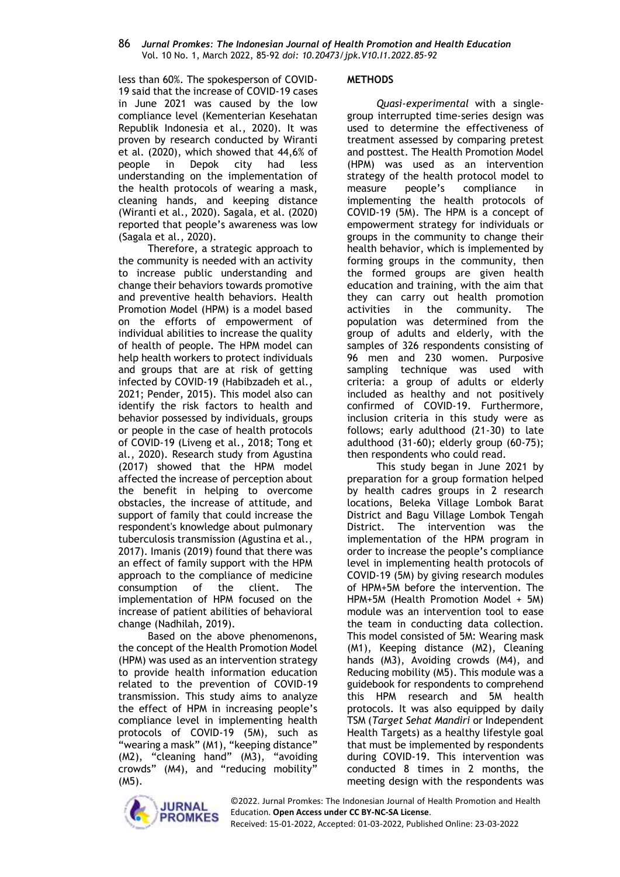less than 60%. The spokesperson of COVID-19 said that the increase of COVID-19 cases in June 2021 was caused by the low compliance level (Kementerian Kesehatan Republik Indonesia et al., 2020). It was proven by research conducted by Wiranti et al. (2020), which showed that 44,6% of people in Depok city had less understanding on the implementation of the health protocols of wearing a mask, cleaning hands, and keeping distance (Wiranti et al., 2020). Sagala, et al. (2020) reported that people's awareness was low (Sagala et al., 2020).

Therefore, a strategic approach to the community is needed with an activity to increase public understanding and change their behaviors towards promotive and preventive health behaviors. Health Promotion Model (HPM) is a model based on the efforts of empowerment of individual abilities to increase the quality of health of people. The HPM model can help health workers to protect individuals and groups that are at risk of getting infected by COVID-19 (Habibzadeh et al., 2021; Pender, 2015). This model also can identify the risk factors to health and behavior possessed by individuals, groups or people in the case of health protocols of COVID-19 (Liveng et al., 2018; Tong et al., 2020). Research study from Agustina (2017) showed that the HPM model affected the increase of perception about the benefit in helping to overcome obstacles, the increase of attitude, and support of family that could increase the respondent's knowledge about pulmonary tuberculosis transmission (Agustina et al., 2017). Imanis (2019) found that there was an effect of family support with the HPM approach to the compliance of medicine consumption of the client. The implementation of HPM focused on the increase of patient abilities of behavioral change (Nadhilah, 2019).

Based on the above phenomenons, the concept of the Health Promotion Model (HPM) was used as an intervention strategy to provide health information education related to the prevention of COVID-19 transmission. This study aims to analyze the effect of HPM in increasing people's compliance level in implementing health protocols of COVID-19 (5M), such as "wearing a mask" (M1), "keeping distance" (M2), "cleaning hand" (M3), "avoiding crowds" (M4), and "reducing mobility" (M5).

#### **METHODS**

*Quasi-experimental* with a singlegroup interrupted time-series design was used to determine the effectiveness of treatment assessed by comparing pretest and posttest. The Health Promotion Model (HPM) was used as an intervention strategy of the health protocol model to measure people's compliance in implementing the health protocols of COVID-19 (5M). The HPM is a concept of empowerment strategy for individuals or groups in the community to change their health behavior, which is implemented by forming groups in the community, then the formed groups are given health education and training, with the aim that they can carry out health promotion activities in the community. The population was determined from the group of adults and elderly, with the samples of 326 respondents consisting of 96 men and 230 women. Purposive sampling technique was used with criteria: a group of adults or elderly included as healthy and not positively confirmed of COVID-19. Furthermore, inclusion criteria in this study were as follows; early adulthood (21-30) to late adulthood (31-60); elderly group (60-75); then respondents who could read.

This study began in June 2021 by preparation for a group formation helped by health cadres groups in 2 research locations, Beleka Village Lombok Barat District and Bagu Village Lombok Tengah District. The intervention was the implementation of the HPM program in order to increase the people's compliance level in implementing health protocols of COVID-19 (5M) by giving research modules of HPM+5M before the intervention. The HPM+5M (Health Promotion Model + 5M) module was an intervention tool to ease the team in conducting data collection. This model consisted of 5M: Wearing mask (M1), Keeping distance (M2), Cleaning hands (M3), Avoiding crowds (M4), and Reducing mobility (M5). This module was a guidebook for respondents to comprehend this HPM research and 5M health protocols. It was also equipped by daily TSM (*Target Sehat Mandiri* or Independent Health Targets) as a healthy lifestyle goal that must be implemented by respondents during COVID-19. This intervention was conducted 8 times in 2 months, the meeting design with the respondents was



©2022. Jurnal Promkes: The Indonesian Journal of Health Promotion and Health Education. **Open Access under CC BY-NC-SA License**.

Received: 15-01-2022, Accepted: 01-03-2022, Published Online: 23-03-2022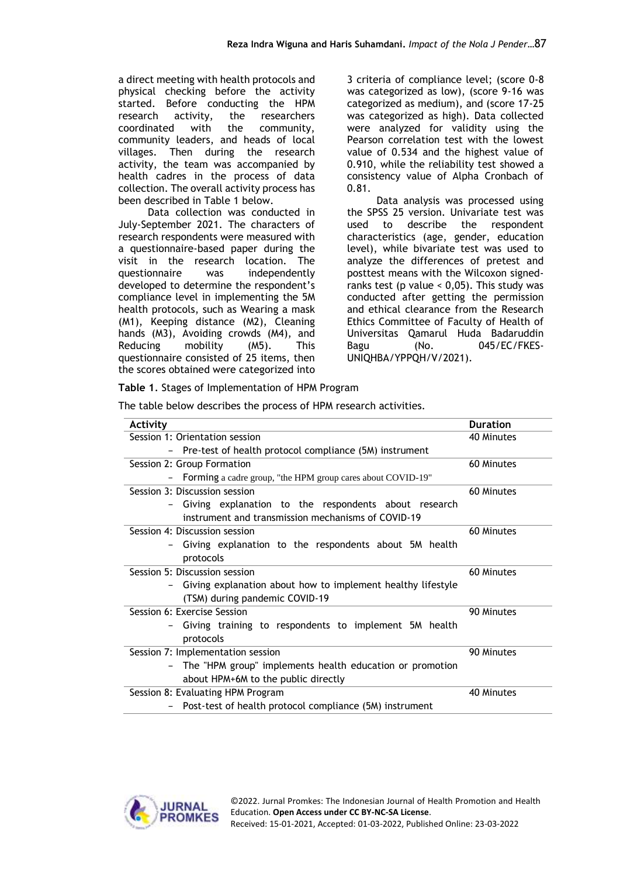a direct meeting with health protocols and physical checking before the activity started. Before conducting the HPM research activity, the researchers coordinated with the community, community leaders, and heads of local villages. Then during the research activity, the team was accompanied by health cadres in the process of data collection. The overall activity process has been described in Table 1 below.

Data collection was conducted in July-September 2021. The characters of research respondents were measured with a questionnaire-based paper during the visit in the research location. The questionnaire was independently developed to determine the respondent's compliance level in implementing the 5M health protocols, such as Wearing a mask (M1), Keeping distance (M2), Cleaning hands (M3), Avoiding crowds (M4), and Reducing mobility (M5). This questionnaire consisted of 25 items, then the scores obtained were categorized into

3 criteria of compliance level; (score 0-8 was categorized as low), (score 9-16 was categorized as medium), and (score 17-25 was categorized as high). Data collected were analyzed for validity using the Pearson correlation test with the lowest value of 0.534 and the highest value of 0.910, while the reliability test showed a consistency value of Alpha Cronbach of 0.81.

Data analysis was processed using the SPSS 25 version. Univariate test was used to describe the respondent characteristics (age, gender, education level), while bivariate test was used to analyze the differences of pretest and posttest means with the Wilcoxon signedranks test (p value  $<$  0,05). This study was conducted after getting the permission and ethical clearance from the Research Ethics Committee of Faculty of Health of Universitas Qamarul Huda Badaruddin Bagu (No. 045/EC/FKES-UNIQHBA/YPPQH/V/2021).

**Table 1***.* Stages of Implementation of HPM Program

The table below describes the process of HPM research activities.

| Activity                                                                                    | <b>Duration</b> |
|---------------------------------------------------------------------------------------------|-----------------|
| Session 1: Orientation session                                                              | 40 Minutes      |
| Pre-test of health protocol compliance (5M) instrument                                      |                 |
| Session 2: Group Formation                                                                  | 60 Minutes      |
| Forming a cadre group, "the HPM group cares about COVID-19"<br>$\qquad \qquad \blacksquare$ |                 |
| Session 3: Discussion session                                                               | 60 Minutes      |
| Giving explanation to the respondents about research                                        |                 |
| instrument and transmission mechanisms of COVID-19                                          |                 |
| Session 4: Discussion session                                                               | 60 Minutes      |
| Giving explanation to the respondents about 5M health                                       |                 |
| protocols                                                                                   |                 |
| Session 5: Discussion session                                                               | 60 Minutes      |
| Giving explanation about how to implement healthy lifestyle<br>-                            |                 |
| (TSM) during pandemic COVID-19                                                              |                 |
| Session 6: Exercise Session                                                                 | 90 Minutes      |
| Giving training to respondents to implement 5M health                                       |                 |
| protocols                                                                                   |                 |
| Session 7: Implementation session                                                           | 90 Minutes      |
| The "HPM group" implements health education or promotion<br>$-$                             |                 |
| about HPM+6M to the public directly                                                         |                 |
| Session 8: Evaluating HPM Program                                                           | 40 Minutes      |
| Post-test of health protocol compliance (5M) instrument                                     |                 |

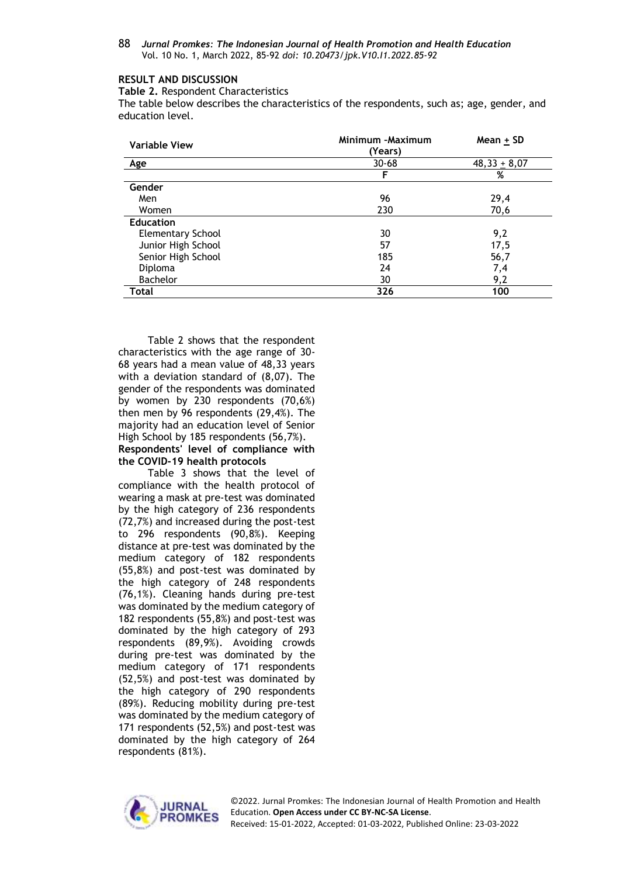### **RESULT AND DISCUSSION**

**Table 2.** Respondent Characteristics

The table below describes the characteristics of the respondents, such as; age, gender, and education level.

| <b>Variable View</b>     | Minimum -Maximum<br>(Years) | Mean + SD      |  |  |
|--------------------------|-----------------------------|----------------|--|--|
| Age                      | $30 - 68$                   | $48,33 + 8,07$ |  |  |
|                          | F                           | %              |  |  |
| Gender                   |                             |                |  |  |
| Men                      | 96                          | 29,4           |  |  |
| Women                    | 230                         | 70,6           |  |  |
| <b>Education</b>         |                             |                |  |  |
| <b>Elementary School</b> | 30                          | 9,2            |  |  |
| Junior High School       | 57                          | 17,5           |  |  |
| Senior High School       | 185                         | 56,7           |  |  |
| Diploma                  | 24                          | 7,4            |  |  |
| <b>Bachelor</b>          | 30                          | 9,2            |  |  |
| Total                    | 326                         | 100            |  |  |

Table 2 shows that the respondent characteristics with the age range of 30- 68 years had a mean value of 48,33 years with a deviation standard of (8,07). The gender of the respondents was dominated by women by 230 respondents (70,6%) then men by 96 respondents (29,4%). The majority had an education level of Senior High School by 185 respondents (56,7%). **Respondents' level of compliance with the COVID-19 health protocols**

Table 3 shows that the level of compliance with the health protocol of wearing a mask at pre-test was dominated by the high category of 236 respondents (72,7%) and increased during the post-test to 296 respondents (90,8%). Keeping distance at pre-test was dominated by the medium category of 182 respondents (55,8%) and post-test was dominated by the high category of 248 respondents (76,1%). Cleaning hands during pre-test was dominated by the medium category of 182 respondents (55,8%) and post-test was dominated by the high category of 293 respondents (89,9%). Avoiding crowds during pre-test was dominated by the medium category of 171 respondents (52,5%) and post-test was dominated by the high category of 290 respondents (89%). Reducing mobility during pre-test was dominated by the medium category of 171 respondents (52,5%) and post-test was dominated by the high category of 264 respondents (81%).



©2022. Jurnal Promkes: The Indonesian Journal of Health Promotion and Health Education. **Open Access under CC BY-NC-SA License**. Received: 15-01-2022, Accepted: 01-03-2022, Published Online: 23-03-2022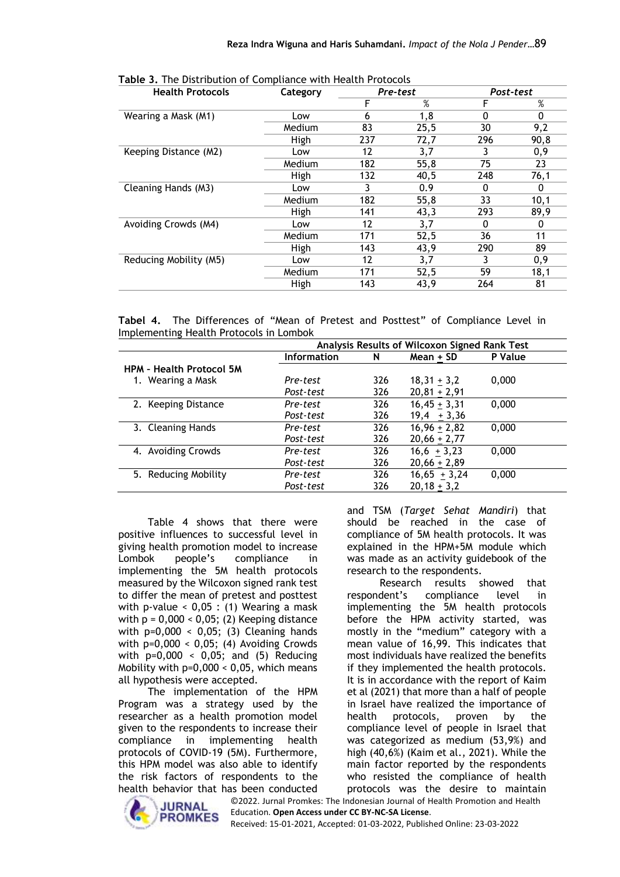| <b>Health Protocols</b> | Category | Pre-test |      | Post-test |          |  |
|-------------------------|----------|----------|------|-----------|----------|--|
|                         |          | F        | %    |           | %        |  |
| Wearing a Mask (M1)     | Low      | 6        | 1,8  | 0         | $\Omega$ |  |
|                         | Medium   | 83       | 25,5 | 30        | 9,2      |  |
|                         | High     | 237      | 72,7 | 296       | 90,8     |  |
| Keeping Distance (M2)   | Low      | 12       | 3,7  |           | 0,9      |  |
|                         | Medium   | 182      | 55,8 | 75        | 23       |  |
|                         | High     | 132      | 40,5 | 248       | 76,1     |  |
| Cleaning Hands (M3)     | Low      | 3        | 0.9  | 0         | 0        |  |
|                         | Medium   | 182      | 55,8 | 33        | 10,1     |  |
|                         | High     | 141      | 43,3 | 293       | 89,9     |  |
| Avoiding Crowds (M4)    | Low      | 12       | 3,7  | U         | 0        |  |
|                         | Medium   | 171      | 52,5 | 36        | 11       |  |
|                         | High     | 143      | 43,9 | 290       | 89       |  |
| Reducing Mobility (M5)  | Low      | 12       | 3,7  |           | 0,9      |  |
|                         | Medium   | 171      | 52,5 | 59        | 18,1     |  |
|                         | High     | 143      | 43,9 | 264       | 81       |  |

**Table 3.** The Distribution of Compliance with Health Protocols

|  |                                         |  |  |  | Tabel 4. The Differences of "Mean of Pretest and Posttest" of Compliance Level in |  |
|--|-----------------------------------------|--|--|--|-----------------------------------------------------------------------------------|--|
|  | Implementing Health Protocols in Lombok |  |  |  |                                                                                   |  |

|                                 | Analysis Results of Wilcoxon Signed Rank Test |     |                |         |  |  |  |
|---------------------------------|-----------------------------------------------|-----|----------------|---------|--|--|--|
|                                 | <b>Information</b>                            | N   | Mean + SD      | P Value |  |  |  |
| <b>HPM - Health Protocol 5M</b> |                                               |     |                |         |  |  |  |
| 1. Wearing a Mask               | Pre-test                                      | 326 | $18,31 + 3,2$  | 0,000   |  |  |  |
|                                 | Post-test                                     | 326 | $20,81 + 2,91$ |         |  |  |  |
| 2. Keeping Distance             | Pre-test                                      | 326 | $16,45 + 3,31$ | 0,000   |  |  |  |
|                                 | Post-test                                     | 326 | $19,4 + 3,36$  |         |  |  |  |
| 3. Cleaning Hands               | Pre-test                                      | 326 | $16,96 + 2,82$ | 0,000   |  |  |  |
|                                 | Post-test                                     | 326 | $20,66 + 2,77$ |         |  |  |  |
| 4. Avoiding Crowds              | Pre-test                                      | 326 | $16,6 + 3,23$  | 0,000   |  |  |  |
|                                 | Post-test                                     | 326 | $20,66 + 2,89$ |         |  |  |  |
| 5. Reducing Mobility            | Pre-test                                      | 326 | $16,65 + 3,24$ | 0,000   |  |  |  |
|                                 | Post-test                                     | 326 | $20,18 + 3,2$  |         |  |  |  |

Table 4 shows that there were positive influences to successful level in giving health promotion model to increase<br>
Lombok beople's compliance in Lombok people's compliance in implementing the 5M health protocols measured by the Wilcoxon signed rank test to differ the mean of pretest and posttest with p-value  $< 0.05$  : (1) Wearing a mask with  $p = 0,000 < 0,05$ ; (2) Keeping distance with p=0,000 < 0,05; (3) Cleaning hands with  $p=0,000 < 0,05$ ; (4) Avoiding Crowds with p=0,000 < 0,05; and (5) Reducing Mobility with  $p=0,000 < 0,05$ , which means all hypothesis were accepted.

The implementation of the HPM Program was a strategy used by the researcher as a health promotion model given to the respondents to increase their compliance in implementing health protocols of COVID-19 (5M). Furthermore, this HPM model was also able to identify the risk factors of respondents to the health behavior that has been conducted



and TSM (*Target Sehat Mandiri*) that should be reached in the case of compliance of 5M health protocols. It was explained in the HPM+5M module which was made as an activity guidebook of the research to the respondents.

©2022. Jurnal Promkes: The Indonesian Journal of Health Promotion and Health Research results showed that respondent's compliance level in implementing the 5M health protocols before the HPM activity started, was mostly in the "medium" category with a mean value of 16,99. This indicates that most individuals have realized the benefits if they implemented the health protocols. It is in accordance with the report of Kaim et al (2021) that more than a half of people in Israel have realized the importance of health protocols, proven by the compliance level of people in Israel that was categorized as medium (53,9%) and high (40,6%) (Kaim et al., 2021). While the main factor reported by the respondents who resisted the compliance of health protocols was the desire to maintain

Education. **Open Access under CC BY-NC-SA License**. Received: 15-01-2021, Accepted: 01-03-2022, Published Online: 23-03-2022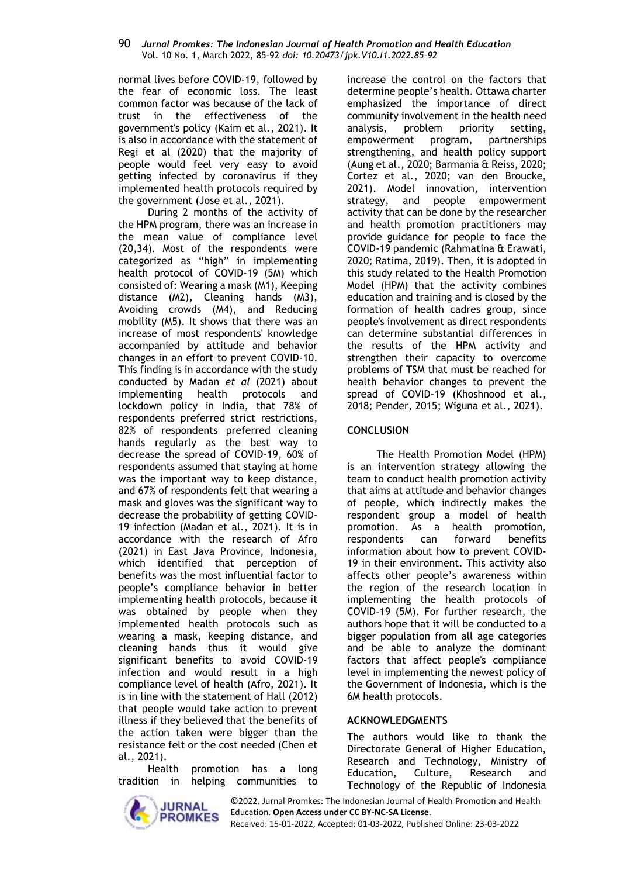normal lives before COVID-19, followed by the fear of economic loss. The least common factor was because of the lack of trust in the effectiveness of the government's policy (Kaim et al., 2021). It is also in accordance with the statement of Regi et al (2020) that the majority of people would feel very easy to avoid getting infected by coronavirus if they implemented health protocols required by the government (Jose et al., 2021).

During 2 months of the activity of the HPM program, there was an increase in the mean value of compliance level (20,34). Most of the respondents were categorized as "high" in implementing health protocol of COVID-19 (5M) which consisted of: Wearing a mask (M1), Keeping distance (M2), Cleaning hands (M3), Avoiding crowds (M4), and Reducing mobility (M5). It shows that there was an increase of most respondents' knowledge accompanied by attitude and behavior changes in an effort to prevent COVID-10. This finding is in accordance with the study conducted by Madan *et al* (2021) about implementing health protocols and lockdown policy in India, that 78% of respondents preferred strict restrictions, 82% of respondents preferred cleaning hands regularly as the best way to decrease the spread of COVID-19, 60% of respondents assumed that staying at home was the important way to keep distance, and 67% of respondents felt that wearing a mask and gloves was the significant way to decrease the probability of getting COVID-19 infection (Madan et al., 2021). It is in accordance with the research of Afro (2021) in East Java Province, Indonesia, which identified that perception of benefits was the most influential factor to people's compliance behavior in better implementing health protocols, because it was obtained by people when they implemented health protocols such as wearing a mask, keeping distance, and cleaning hands thus it would give significant benefits to avoid COVID-19 infection and would result in a high compliance level of health (Afro, 2021). It is in line with the statement of Hall (2012) that people would take action to prevent illness if they believed that the benefits of the action taken were bigger than the resistance felt or the cost needed (Chen et al., 2021).

Health promotion has a long tradition in helping communities to



increase the control on the factors that determine people's health. Ottawa charter emphasized the importance of direct community involvement in the health need analysis, problem priority setting, empowerment program, partnerships strengthening, and health policy support (Aung et al., 2020; Barmania & Reiss, 2020; Cortez et al., 2020; van den Broucke, 2021). Model innovation, intervention strategy, and people empowerment activity that can be done by the researcher and health promotion practitioners may provide guidance for people to face the COVID-19 pandemic (Rahmatina & Erawati, 2020; Ratima, 2019). Then, it is adopted in this study related to the Health Promotion Model (HPM) that the activity combines education and training and is closed by the formation of health cadres group, since people's involvement as direct respondents can determine substantial differences in the results of the HPM activity and strengthen their capacity to overcome problems of TSM that must be reached for health behavior changes to prevent the spread of COVID-19 (Khoshnood et al., 2018; Pender, 2015; Wiguna et al., 2021).

### **CONCLUSION**

The Health Promotion Model (HPM) is an intervention strategy allowing the team to conduct health promotion activity that aims at attitude and behavior changes of people, which indirectly makes the respondent group a model of health promotion. As a health promotion, respondents can forward benefits information about how to prevent COVID-19 in their environment. This activity also affects other people's awareness within the region of the research location in implementing the health protocols of COVID-19 (5M). For further research, the authors hope that it will be conducted to a bigger population from all age categories and be able to analyze the dominant factors that affect people's compliance level in implementing the newest policy of the Government of Indonesia, which is the 6M health protocols.

### **ACKNOWLEDGMENTS**

The authors would like to thank the Directorate General of Higher Education, Research and Technology, Ministry of Education, Culture, Research and Technology of the Republic of Indonesia

©2022. Jurnal Promkes: The Indonesian Journal of Health Promotion and Health Education. **Open Access under CC BY-NC-SA License**. Received: 15-01-2022, Accepted: 01-03-2022, Published Online: 23-03-2022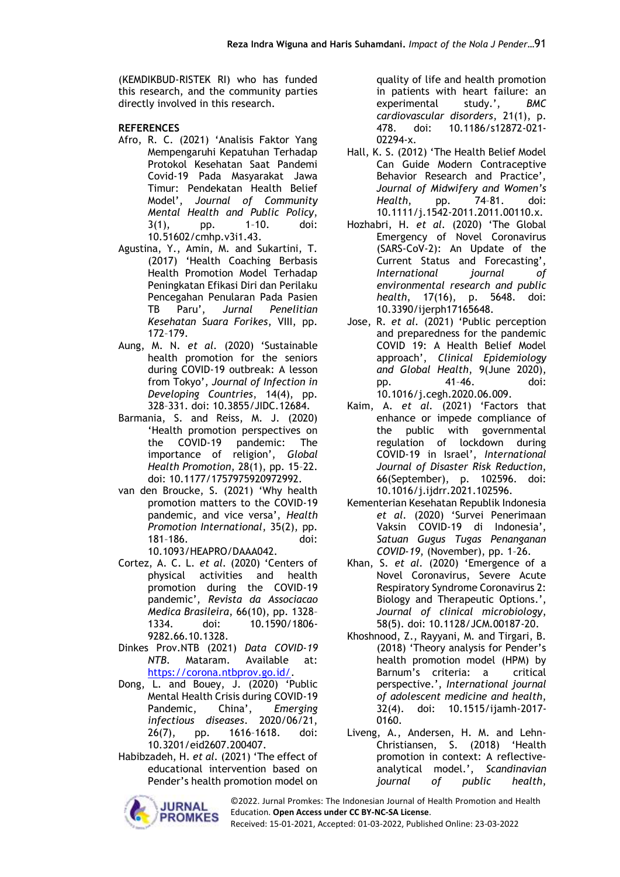(KEMDIKBUD-RISTEK RI) who has funded this research, and the community parties directly involved in this research.

### **REFERENCES**

- Afro, R. C. (2021) 'Analisis Faktor Yang Mempengaruhi Kepatuhan Terhadap Protokol Kesehatan Saat Pandemi Covid-19 Pada Masyarakat Jawa Timur: Pendekatan Health Belief Model', *Journal of Community Mental Health and Public Policy*, 3(1), pp. 1–10. doi: 10.51602/cmhp.v3i1.43.
- Agustina, Y., Amin, M. and Sukartini, T. (2017) 'Health Coaching Berbasis Health Promotion Model Terhadap Peningkatan Efikasi Diri dan Perilaku Pencegahan Penularan Pada Pasien TB Paru', *Jurnal Penelitian Kesehatan Suara Forikes*, VIII, pp. 172–179.
- Aung, M. N. *et al.* (2020) 'Sustainable health promotion for the seniors during COVID-19 outbreak: A lesson from Tokyo', *Journal of Infection in Developing Countries*, 14(4), pp. 328–331. doi: 10.3855/JIDC.12684.
- Barmania, S. and Reiss, M. J. (2020) 'Health promotion perspectives on the COVID-19 pandemic: The importance of religion', *Global Health Promotion*, 28(1), pp. 15–22. doi: 10.1177/1757975920972992.
- van den Broucke, S. (2021) 'Why health promotion matters to the COVID-19 pandemic, and vice versa', *Health Promotion International*, 35(2), pp. 181–186. doi: 10.1093/HEAPRO/DAAA042.
- Cortez, A. C. L. *et al.* (2020) 'Centers of physical activities and health promotion during the COVID-19 pandemic', *Revista da Associacao Medica Brasileira*, 66(10), pp. 1328– 1334. doi: 10.1590/1806- 9282.66.10.1328.
- Dinkes Prov.NTB (2021) *Data COVID-19 NTB*. Mataram. Available at: [https://corona.ntbprov.go.id/.](https://corona.ntbprov.go.id/)
- Dong, L. and Bouey, J. (2020) 'Public Mental Health Crisis during COVID-19 Pandemic, China', *Emerging infectious diseases*. 2020/06/21, 26(7), pp. 1616–1618. doi: 10.3201/eid2607.200407.
- Habibzadeh, H. *et al.* (2021) 'The effect of educational intervention based on Pender's health promotion model on



quality of life and health promotion in patients with heart failure: an experimental study.', *BMC cardiovascular disorders*, 21(1), p. 478. doi: 10.1186/s12872-021- 02294-x.

- Hall, K. S. (2012) 'The Health Belief Model Can Guide Modern Contraceptive Behavior Research and Practice', *Journal of Midwifery and Women's Health*, pp. 74–81. doi: 10.1111/j.1542-2011.2011.00110.x.
- Hozhabri, H. *et al.* (2020) 'The Global Emergency of Novel Coronavirus (SARS-CoV-2): An Update of the Current Status and Forecasting', *International journal of environmental research and public health*, 17(16), p. 5648. doi: 10.3390/ijerph17165648.
- Jose, R. *et al.* (2021) 'Public perception and preparedness for the pandemic COVID 19: A Health Belief Model approach', *Clinical Epidemiology and Global Health*, 9(June 2020), pp. 41–46. doi: 10.1016/j.cegh.2020.06.009.
- Kaim, A. *et al.* (2021) 'Factors that enhance or impede compliance of the public with governmental regulation of lockdown during COVID-19 in Israel', *International Journal of Disaster Risk Reduction*, 66(September), p. 102596. doi: 10.1016/j.ijdrr.2021.102596.
- Kementerian Kesehatan Republik Indonesia *et al.* (2020) 'Survei Penerimaan Vaksin COVID-19 di Indonesia', *Satuan Gugus Tugas Penanganan COVID-19*, (November), pp. 1–26.
- Khan, S. *et al.* (2020) 'Emergence of a Novel Coronavirus, Severe Acute Respiratory Syndrome Coronavirus 2: Biology and Therapeutic Options.', *Journal of clinical microbiology*, 58(5). doi: 10.1128/JCM.00187-20.
- Khoshnood, Z., Rayyani, M. and Tirgari, B. (2018) 'Theory analysis for Pender's health promotion model (HPM) by Barnum's criteria: a critical perspective.', *International journal of adolescent medicine and health*, 32(4). doi: 10.1515/ijamh-2017- 0160.
- Liveng, A., Andersen, H. M. and Lehn-Christiansen, S. (2018) 'Health promotion in context: A reflectiveanalytical model.', *Scandinavian journal of public health*,

©2022. Jurnal Promkes: The Indonesian Journal of Health Promotion and Health Education. **Open Access under CC BY-NC-SA License**. Received: 15-01-2021, Accepted: 01-03-2022, Published Online: 23-03-2022